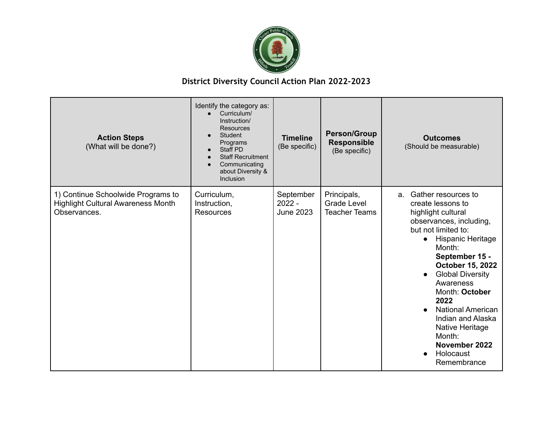

| <b>Action Steps</b><br>(What will be done?)                                                     | Identify the category as:<br>Curriculum/<br>Instruction/<br><b>Resources</b><br>Student<br>Programs<br>Staff PD<br><b>Staff Recruitment</b><br>Communicating<br>about Diversity &<br>Inclusion | <b>Timeline</b><br>(Be specific)          | <b>Person/Group</b><br><b>Responsible</b><br>(Be specific) | <b>Outcomes</b><br>(Should be measurable)                                                                                                                                                                                                                                                                                                                                                                            |
|-------------------------------------------------------------------------------------------------|------------------------------------------------------------------------------------------------------------------------------------------------------------------------------------------------|-------------------------------------------|------------------------------------------------------------|----------------------------------------------------------------------------------------------------------------------------------------------------------------------------------------------------------------------------------------------------------------------------------------------------------------------------------------------------------------------------------------------------------------------|
| 1) Continue Schoolwide Programs to<br><b>Highlight Cultural Awareness Month</b><br>Observances. | Curriculum,<br>Instruction,<br><b>Resources</b>                                                                                                                                                | September<br>$2022 -$<br><b>June 2023</b> | Principals,<br><b>Grade Level</b><br><b>Teacher Teams</b>  | Gather resources to<br>a.<br>create lessons to<br>highlight cultural<br>observances, including,<br>but not limited to:<br>• Hispanic Heritage<br>Month:<br>September 15 -<br>October 15, 2022<br><b>Global Diversity</b><br>$\bullet$<br>Awareness<br>Month: October<br>2022<br><b>National American</b><br>Indian and Alaska<br>Native Heritage<br>Month:<br>November 2022<br>Holocaust<br>$\bullet$<br>Remembrance |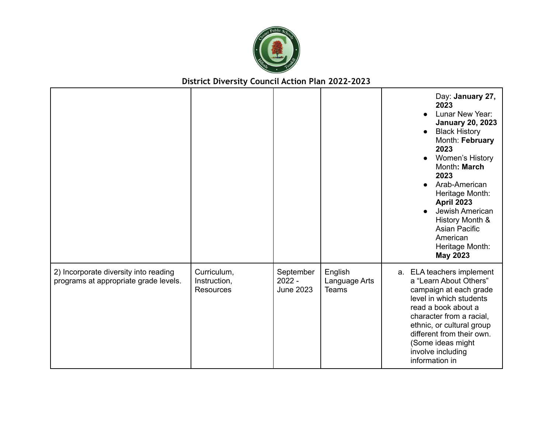

|                                                                                |                                                 |                                           |                                          | Day: January 27,<br>2023<br>Lunar New Year:<br><b>January 20, 2023</b><br><b>Black History</b><br>$\bullet$<br>Month: February<br>2023<br><b>Women's History</b><br>Month: March<br>2023<br>Arab-American<br>Heritage Month:<br><b>April 2023</b><br>Jewish American<br>History Month &<br><b>Asian Pacific</b><br>American<br>Heritage Month:<br><b>May 2023</b> |
|--------------------------------------------------------------------------------|-------------------------------------------------|-------------------------------------------|------------------------------------------|-------------------------------------------------------------------------------------------------------------------------------------------------------------------------------------------------------------------------------------------------------------------------------------------------------------------------------------------------------------------|
| 2) Incorporate diversity into reading<br>programs at appropriate grade levels. | Curriculum,<br>Instruction,<br><b>Resources</b> | September<br>$2022 -$<br><b>June 2023</b> | English<br>Language Arts<br><b>Teams</b> | a. ELA teachers implement<br>a "Learn About Others"<br>campaign at each grade<br>level in which students<br>read a book about a<br>character from a racial,<br>ethnic, or cultural group<br>different from their own.<br>(Some ideas might<br>involve including<br>information in                                                                                 |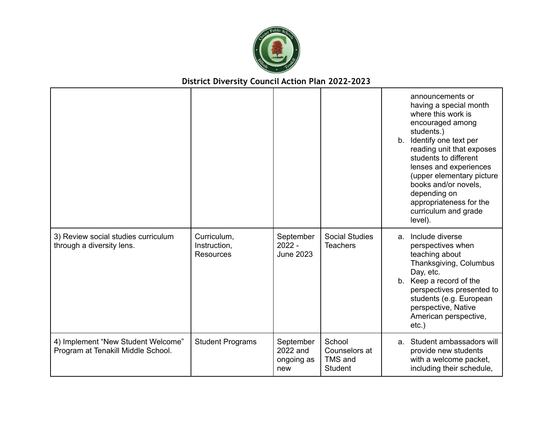

|                                                                          |                                                 |                                            |                                                      |               | announcements or<br>having a special month<br>where this work is<br>encouraged among<br>students.)<br>b. Identify one text per<br>reading unit that exposes<br>students to different<br>lenses and experiences<br>(upper elementary picture<br>books and/or novels.<br>depending on<br>appropriateness for the<br>curriculum and grade<br>level). |
|--------------------------------------------------------------------------|-------------------------------------------------|--------------------------------------------|------------------------------------------------------|---------------|---------------------------------------------------------------------------------------------------------------------------------------------------------------------------------------------------------------------------------------------------------------------------------------------------------------------------------------------------|
| 3) Review social studies curriculum<br>through a diversity lens.         | Curriculum,<br>Instruction,<br><b>Resources</b> | September<br>$2022 -$<br><b>June 2023</b>  | <b>Social Studies</b><br><b>Teachers</b>             | a.<br>$b_{1}$ | Include diverse<br>perspectives when<br>teaching about<br>Thanksgiving, Columbus<br>Day, etc.<br>Keep a record of the<br>perspectives presented to<br>students (e.g. European<br>perspective, Native<br>American perspective,<br>$etc.$ )                                                                                                         |
| 4) Implement "New Student Welcome"<br>Program at Tenakill Middle School. | <b>Student Programs</b>                         | September<br>2022 and<br>ongoing as<br>new | School<br>Counselors at<br>TMS and<br><b>Student</b> | $a_{-}$       | Student ambassadors will<br>provide new students<br>with a welcome packet,<br>including their schedule,                                                                                                                                                                                                                                           |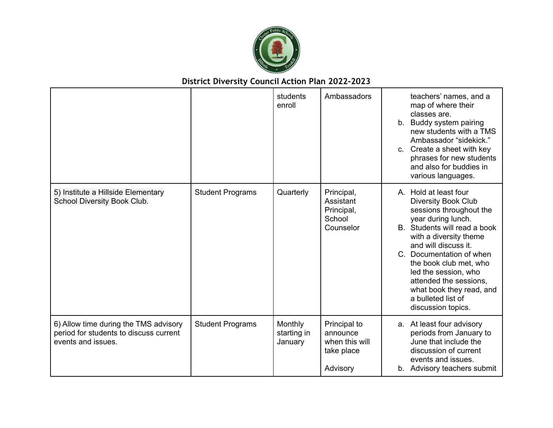

|                                                                                                       |                         | students<br>enroll                | Ambassadors                                                          | teachers' names, and a<br>map of where their<br>classes are.<br>Buddy system pairing<br>$b_{-}$<br>new students with a TMS<br>Ambassador "sidekick."<br>c. Create a sheet with key<br>phrases for new students<br>and also for buddies in<br>various languages.                                                                                                        |
|-------------------------------------------------------------------------------------------------------|-------------------------|-----------------------------------|----------------------------------------------------------------------|------------------------------------------------------------------------------------------------------------------------------------------------------------------------------------------------------------------------------------------------------------------------------------------------------------------------------------------------------------------------|
| 5) Institute a Hillside Elementary<br>School Diversity Book Club.                                     | <b>Student Programs</b> | Quarterly                         | Principal,<br>Assistant<br>Principal,<br>School<br>Counselor         | A. Hold at least four<br><b>Diversity Book Club</b><br>sessions throughout the<br>year during lunch.<br>B. Students will read a book<br>with a diversity theme<br>and will discuss it.<br>C. Documentation of when<br>the book club met, who<br>led the session, who<br>attended the sessions,<br>what book they read, and<br>a bulleted list of<br>discussion topics. |
| 6) Allow time during the TMS advisory<br>period for students to discuss current<br>events and issues. | <b>Student Programs</b> | Monthly<br>starting in<br>January | Principal to<br>announce<br>when this will<br>take place<br>Advisory | a. At least four advisory<br>periods from January to<br>June that include the<br>discussion of current<br>events and issues.<br>b. Advisory teachers submit                                                                                                                                                                                                            |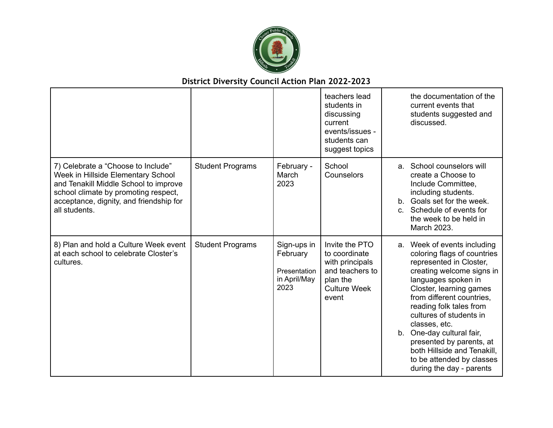

|                                                                                                                                                                                                                       |                         |                                                                 | teachers lead<br>students in<br>discussing<br>current<br>events/issues -<br>students can<br>suggest topics        | the documentation of the<br>current events that<br>students suggested and<br>discussed.                                                                                                                                                                                                                                                                                                                                   |
|-----------------------------------------------------------------------------------------------------------------------------------------------------------------------------------------------------------------------|-------------------------|-----------------------------------------------------------------|-------------------------------------------------------------------------------------------------------------------|---------------------------------------------------------------------------------------------------------------------------------------------------------------------------------------------------------------------------------------------------------------------------------------------------------------------------------------------------------------------------------------------------------------------------|
| 7) Celebrate a "Choose to Include"<br>Week in Hillside Elementary School<br>and Tenakill Middle School to improve<br>school climate by promoting respect,<br>acceptance, dignity, and friendship for<br>all students. | <b>Student Programs</b> | February -<br>March<br>2023                                     | School<br>Counselors                                                                                              | a. School counselors will<br>create a Choose to<br>Include Committee,<br>including students.<br>Goals set for the week.<br>$b_{-}$<br>Schedule of events for<br>$C_{\alpha}$<br>the week to be held in<br>March 2023.                                                                                                                                                                                                     |
| 8) Plan and hold a Culture Week event<br>at each school to celebrate Closter's<br>cultures.                                                                                                                           | <b>Student Programs</b> | Sign-ups in<br>February<br>Presentation<br>in April/May<br>2023 | Invite the PTO<br>to coordinate<br>with principals<br>and teachers to<br>plan the<br><b>Culture Week</b><br>event | a. Week of events including<br>coloring flags of countries<br>represented in Closter,<br>creating welcome signs in<br>languages spoken in<br>Closter, learning games<br>from different countries,<br>reading folk tales from<br>cultures of students in<br>classes, etc.<br>b. One-day cultural fair,<br>presented by parents, at<br>both Hillside and Tenakill,<br>to be attended by classes<br>during the day - parents |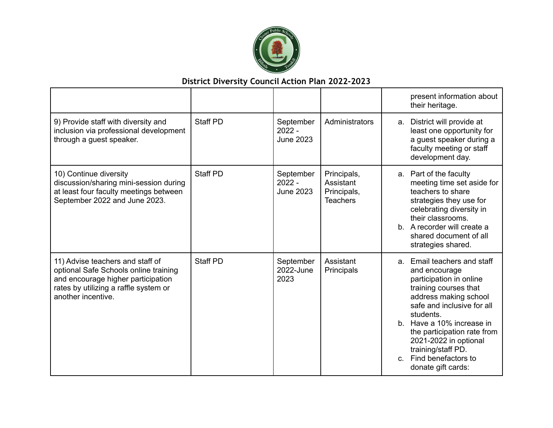

|                                                                                                                                                                                |                 |                                           |                                                            |         | present information about<br>their heritage.                                                                                                                                                                                                                                                                                 |
|--------------------------------------------------------------------------------------------------------------------------------------------------------------------------------|-----------------|-------------------------------------------|------------------------------------------------------------|---------|------------------------------------------------------------------------------------------------------------------------------------------------------------------------------------------------------------------------------------------------------------------------------------------------------------------------------|
| 9) Provide staff with diversity and<br>inclusion via professional development<br>through a guest speaker.                                                                      | Staff PD        | September<br>$2022 -$<br><b>June 2023</b> | Administrators                                             | a.      | District will provide at<br>least one opportunity for<br>a guest speaker during a<br>faculty meeting or staff<br>development day.                                                                                                                                                                                            |
| 10) Continue diversity<br>discussion/sharing mini-session during<br>at least four faculty meetings between<br>September 2022 and June 2023.                                    | <b>Staff PD</b> | September<br>$2022 -$<br><b>June 2023</b> | Principals,<br>Assistant<br>Principals,<br><b>Teachers</b> |         | a. Part of the faculty<br>meeting time set aside for<br>teachers to share<br>strategies they use for<br>celebrating diversity in<br>their classrooms.<br>b. A recorder will create a<br>shared document of all<br>strategies shared.                                                                                         |
| 11) Advise teachers and staff of<br>optional Safe Schools online training<br>and encourage higher participation<br>rates by utilizing a raffle system or<br>another incentive. | <b>Staff PD</b> | September<br>2022-June<br>2023            | Assistant<br>Principals                                    | $C_{1}$ | a. Email teachers and staff<br>and encourage<br>participation in online<br>training courses that<br>address making school<br>safe and inclusive for all<br>students.<br>b. Have a 10% increase in<br>the participation rate from<br>2021-2022 in optional<br>training/staff PD.<br>Find benefactors to<br>donate gift cards: |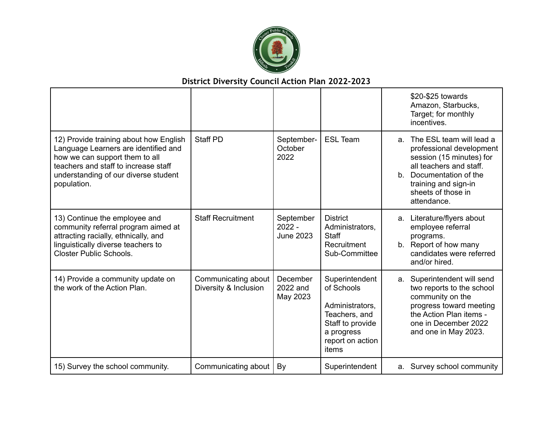

|                                                                                                                                                                                                                 |                                              |                                           |                                                                                                                                 |    | \$20-\$25 towards<br>Amazon, Starbucks,<br>Target; for monthly<br>incentives.                                                                                                                       |
|-----------------------------------------------------------------------------------------------------------------------------------------------------------------------------------------------------------------|----------------------------------------------|-------------------------------------------|---------------------------------------------------------------------------------------------------------------------------------|----|-----------------------------------------------------------------------------------------------------------------------------------------------------------------------------------------------------|
| 12) Provide training about how English<br>Language Learners are identified and<br>how we can support them to all<br>teachers and staff to increase staff<br>understanding of our diverse student<br>population. | <b>Staff PD</b>                              | September-<br>October<br>2022             | <b>ESL Team</b>                                                                                                                 | a. | The ESL team will lead a<br>professional development<br>session (15 minutes) for<br>all teachers and staff.<br>b. Documentation of the<br>training and sign-in<br>sheets of those in<br>attendance. |
| 13) Continue the employee and<br>community referral program aimed at<br>attracting racially, ethnically, and<br>linguistically diverse teachers to<br><b>Closter Public Schools.</b>                            | <b>Staff Recruitment</b>                     | September<br>$2022 -$<br><b>June 2023</b> | <b>District</b><br>Administrators,<br>Staff<br>Recruitment<br>Sub-Committee                                                     | a. | Literature/flyers about<br>employee referral<br>programs.<br>b. Report of how many<br>candidates were referred<br>and/or hired.                                                                     |
| 14) Provide a community update on<br>the work of the Action Plan.                                                                                                                                               | Communicating about<br>Diversity & Inclusion | December<br>2022 and<br>May 2023          | Superintendent<br>of Schools<br>Administrators,<br>Teachers, and<br>Staff to provide<br>a progress<br>report on action<br>items | a. | Superintendent will send<br>two reports to the school<br>community on the<br>progress toward meeting<br>the Action Plan items -<br>one in December 2022<br>and one in May 2023.                     |
| 15) Survey the school community.                                                                                                                                                                                | Communicating about                          | By                                        | Superintendent                                                                                                                  |    | a. Survey school community                                                                                                                                                                          |